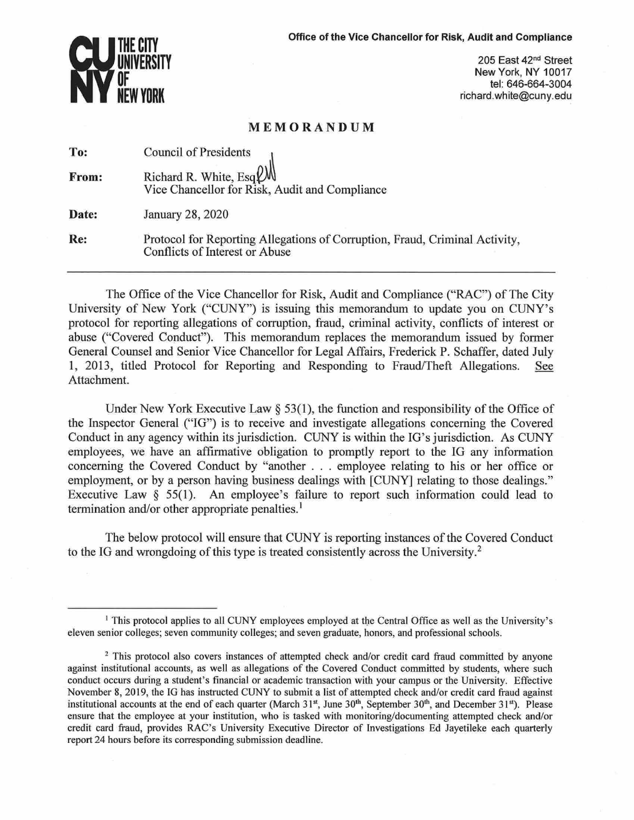

205 East 42nd Street New York, NY 10017 tel: 646-664-3004 richard.white@cuny.edu

## **MEMORANDUM**

| To:   | <b>Council of Presidents</b>                                                                                  |
|-------|---------------------------------------------------------------------------------------------------------------|
| From: | Richard R. White, $Esq \mathcal{Q}$<br>Vice Chancellor for Risk, Audit and Compliance                         |
| Date: | January 28, 2020                                                                                              |
| Re:   | Protocol for Reporting Allegations of Corruption, Fraud, Criminal Activity,<br>Conflicts of Interest or Abuse |

The Office of the Vice Chancellor for Risk, Audit and Compliance ("RAC") of The City University of New York ("CUNY'') is issuing this memorandum to update you on CUNY's protocol for reporting allegations of corruption, fraud, criminal activity, conflicts of interest or abuse ("Covered Conduct"). This memorandum replaces the memorandum issued by former General Counsel and Senior Vice Chancellor for Legal Affairs, Frederick P. Schaffer, dated July 1, 2013, titled Protocol for Reporting and Responding to Fraud/Theft Allegations. See Attachment.

Under New York Executive Law  $\S 53(1)$ , the function and responsibility of the Office of the Inspector General ("IG") is to receive and investigate allegations concerning the Covered Conduct in any agency within its jurisdiction. CUNY is within the IG's jurisdiction. As CUNY employees, we have an affirmative obligation to promptly report to the IG any information concerning the Covered Conduct by "another . . . employee relating to his or her office or employment, or by a person having business dealings with [CUNY] relating to those dealings." Executive Law  $\S$  55(1). An employee's failure to report such information could lead to termination and/or other appropriate penalties.<sup>1</sup>

The below protocol will ensure that CUNY is reporting instances of the Covered Conduct to the IG and wrongdoing of this type is treated consistently across the University.2

<sup>&</sup>lt;sup>1</sup> This protocol applies to all CUNY employees employed at the Central Office as well as the University's eleven senior colleges; seven community colleges; and seven graduate, honors, and professional schools.

<sup>&</sup>lt;sup>2</sup> This protocol also covers instances of attempted check and/or credit card fraud committed by anyone against institutional accounts, as well as allegations of the Covered Conduct committed by students, where such conduct occurs during a student's financial or academic transaction with your campus or the University. Effective November 8, 2019, the JG has instructed CUNY to submit a list of attempted check and/or credit card fraud against institutional accounts at the end of each quarter (March 31st, June 30<sup>th</sup>, September 30<sup>th</sup>, and December 31st). Please ensure that the employee at your institution, who is tasked with monitoring/documenting attempted check and/or credit card fraud, provides RAC's University Executive Director of Investigations Ed Jayetileke each quarterly report 24 hours before its corresponding submission deadline.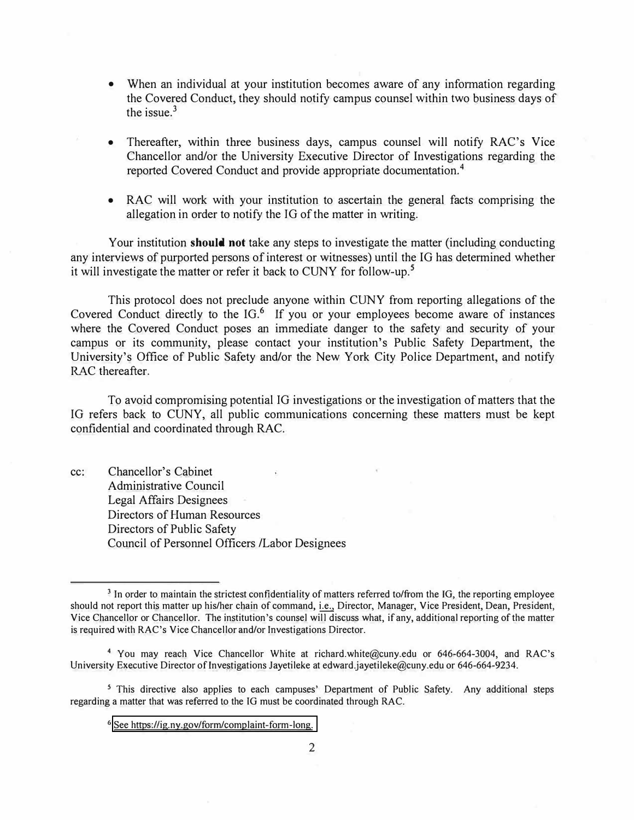- When an individual at your institution becomes aware of any information regarding the Covered Conduct, they should notify campus counsel within two business days of the issue.<sup>3</sup>
- Thereafter, within three business days, campus counsel will notify RAC's Vice Chancellor and/or the University Executive Director of Investigations regarding the reported Covered Conduct and provide appropriate documentation.**<sup>4</sup>**
- RAC will work with your institution to ascertain the general facts comprising the allegation in order to notify the IG of the matter in writing.

Your institution **should not** take any steps to investigate the matter (including conducting any interviews of purported persons of interest or witnesses) until the IG has determined whether it will investigate the matter or refer it back to CUNY for follow-up. **<sup>5</sup>**

This protocol does not preclude anyone within CUNY from reporting allegations of the Covered Conduct directly to the IG.**6** If you or your employees become aware of instances where the Covered Conduct poses an immediate danger to the safety and security of your campus or its community, please contact your institution's Public Safety Department, the University's Office of Public Safety and/or the New York City Police Department, and notify RAC thereafter.

To avoid compromising potential IG investigations or the investigation of matters that the IG refers back to CUNY, all public communications concerning these matters must be kept confidential and coordinated through.RAC.

cc: Chancellor's Cabinet Administrative Council Legal Affairs Designees Directors of Human Resources Directors of Public Safety Council of Personnel Officers /Labor Designees

**<sup>3</sup>**In order to maintain the strictest confidentiality of matters referred to/from the JG, the reporting employee should not report this matter up his/her chain of command, i.e., Director, Manager, Vice President, Dean, President, Vice Chancellor or Chancellor. The institution's counsel will discuss what, if any, additional reporting of the matter is required with RAC's Vice Chancellor and/or Investigations Director.

<sup>4</sup>You may reach Vice Chancellor White at richard.white@cuny.edu or 646-664-3004, and RAC's University Executive Director of Investigations Jayetileke at edward.jayetileke@cuny.edu or 646-664-9234.

<sup>&</sup>lt;sup>5</sup> This directive also applies to each campuses' Department of Public Safety. Any additional steps regarding a matter that was referred to the JG must be coordinated through RAC.

**<sup>6</sup>**[See https://ig.ny.gov/form/complaint-form-long.](https://ig.ny.gov/form/complaint-form-long)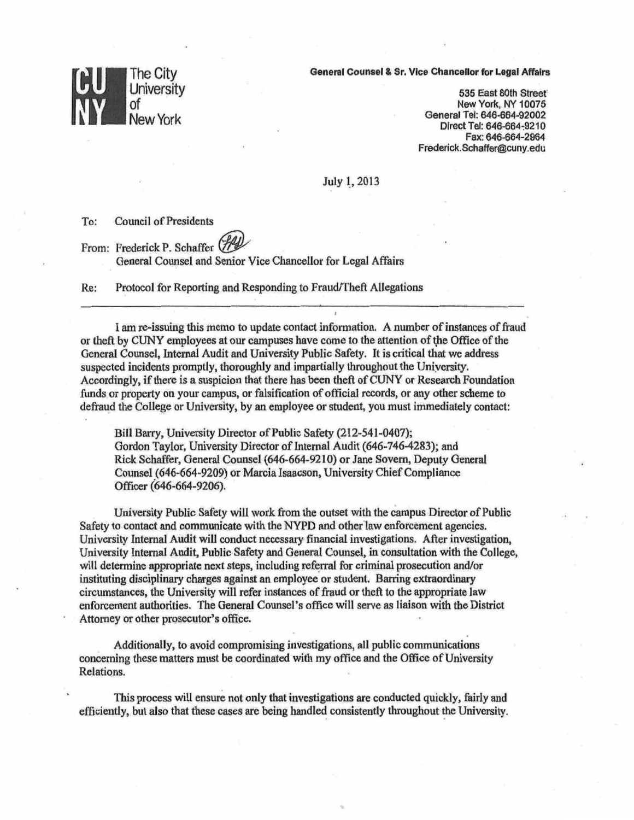## **CU<br>NY The City University** of NewYork

General Counsel & Sr. Vice Chancellor for Legal **Affairs** 

535 East 8oth Street' New York, NY 10075 General Tel: 646-664-92002 Direct Tel: 646-664-9210 Fax: 646-664-2964 Frederick.Schaffer@cuny.edu

July 1\_, 2013

To: Council of Presidents

From: Frederick P. Schaffer (7) General Counsel and Senior Vice Chancellor for Legal Affairs

Re: Protocol for Reporting and Responding to Fraud/Theft Allegations

I am re-issuing this memo to update contact jnformation. A number of instances of fraud or theft by CUNY employees at our campuses have come to the attention of the Office of the General Counsel, Internal Audit and University Public Safety. It is critical that we address suspected incidents promptly, thoroughly and impartially throughout the Uniyersity. Accordingly, if there is a suspicion that there has been theft of CUNY or Research Foundation funds or property on your campus, or falsification of official records, or any other scheme to defraud *the* College or University, by an employee or student, you must immediately contact:

Bill Barry, University Director of Public Safety (212-541-0407); Gordon Taylor, University Director of Internal Audit (646-746-4283); and Rick Schaffer, General Counsel (646-664-9210) or Jane Sovern, Deputy General Counsel (646-664-9209) or Marcia Isaacson, University Chief Compliance Officer (646-664-9206).

University Public Safety will work from the outset with the campus Director of Public Safety to contact and communicate with the NYPD and otherlaw enforcement agencies. University Internal Audit will conduct necessary financial investigations. After investigation, University Internal Audit, Public Safety and General Counsel, in consultation with the College, will determine appropriate next steps, including referral for criminal prosecution and/or instituting disciplinary charges against an employee or student. Barring extraordinary circumstances, the University will refer instances of fraud or theft to the appropriate Jaw enforcement authorities. The General Counsel's office will serve as liaison with the District Attorney or other prosecutor's office.

Additionally, to avoid compromising investigations, all public communications concerning these matters must be coordinated with my office and the Office of University Relations.

This process will ensure not only that investigations are conducted quickly, fairly and efficiently, but also that these cases are being handled consistently throughout the University.